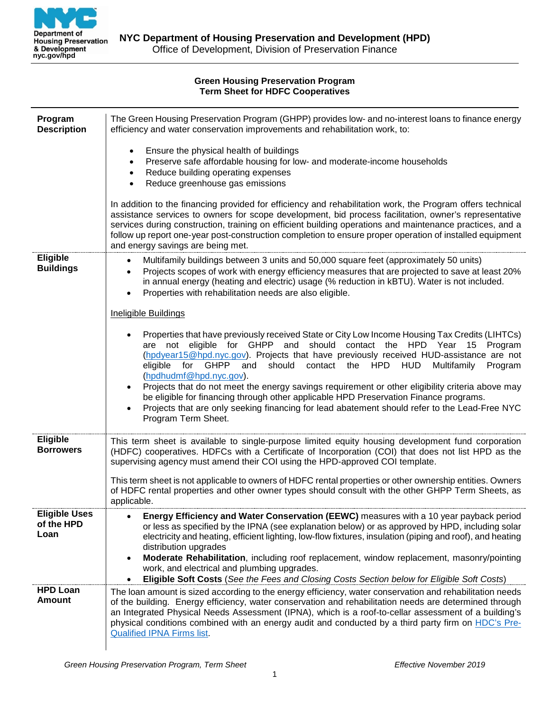

### **Green Housing Preservation Program Term Sheet for HDFC Cooperatives**

| Program<br><b>Description</b>              | The Green Housing Preservation Program (GHPP) provides low- and no-interest loans to finance energy<br>efficiency and water conservation improvements and rehabilitation work, to:                                                                                                                                                                                                                                                                                                        |
|--------------------------------------------|-------------------------------------------------------------------------------------------------------------------------------------------------------------------------------------------------------------------------------------------------------------------------------------------------------------------------------------------------------------------------------------------------------------------------------------------------------------------------------------------|
|                                            | Ensure the physical health of buildings<br>Preserve safe affordable housing for low- and moderate-income households<br>Reduce building operating expenses<br>$\bullet$<br>Reduce greenhouse gas emissions<br>$\bullet$                                                                                                                                                                                                                                                                    |
|                                            | In addition to the financing provided for efficiency and rehabilitation work, the Program offers technical<br>assistance services to owners for scope development, bid process facilitation, owner's representative<br>services during construction, training on efficient building operations and maintenance practices, and a<br>follow up report one-year post-construction completion to ensure proper operation of installed equipment<br>and energy savings are being met.          |
| Eligible<br><b>Buildings</b>               | Multifamily buildings between 3 units and 50,000 square feet (approximately 50 units)<br>$\bullet$<br>Projects scopes of work with energy efficiency measures that are projected to save at least 20%<br>$\bullet$<br>in annual energy (heating and electric) usage (% reduction in kBTU). Water is not included.<br>Properties with rehabilitation needs are also eligible.<br>$\bullet$                                                                                                 |
|                                            | <b>Ineligible Buildings</b>                                                                                                                                                                                                                                                                                                                                                                                                                                                               |
|                                            | Properties that have previously received State or City Low Income Housing Tax Credits (LIHTCs)<br>are not eligible for GHPP and should contact the HPD Year 15 Program<br>(hpdyear15@hpd.nyc.gov). Projects that have previously received HUD-assistance are not<br>for GHPP<br>and<br>should<br>contact the HPD HUD<br>eligible<br>Multifamily<br>Program<br>(hpdhudmf@hpd.nyc.gov).<br>Projects that do not meet the energy savings requirement or other eligibility criteria above may |
|                                            | be eligible for financing through other applicable HPD Preservation Finance programs.<br>Projects that are only seeking financing for lead abatement should refer to the Lead-Free NYC<br>Program Term Sheet.                                                                                                                                                                                                                                                                             |
| Eligible<br><b>Borrowers</b>               | This term sheet is available to single-purpose limited equity housing development fund corporation<br>(HDFC) cooperatives. HDFCs with a Certificate of Incorporation (COI) that does not list HPD as the<br>supervising agency must amend their COI using the HPD-approved COI template.                                                                                                                                                                                                  |
|                                            | This term sheet is not applicable to owners of HDFC rental properties or other ownership entities. Owners<br>of HDFC rental properties and other owner types should consult with the other GHPP Term Sheets, as<br>applicable.                                                                                                                                                                                                                                                            |
| <b>Eligible Uses</b><br>of the HPD<br>Loan | Energy Efficiency and Water Conservation (EEWC) measures with a 10 year payback period<br>or less as specified by the IPNA (see explanation below) or as approved by HPD, including solar<br>electricity and heating, efficient lighting, low-flow fixtures, insulation (piping and roof), and heating<br>distribution upgrades                                                                                                                                                           |
|                                            | Moderate Rehabilitation, including roof replacement, window replacement, masonry/pointing<br>$\bullet$<br>work, and electrical and plumbing upgrades.<br>Eligible Soft Costs (See the Fees and Closing Costs Section below for Eligible Soft Costs)<br>$\bullet$                                                                                                                                                                                                                          |
| <b>HPD Loan</b><br><b>Amount</b>           | The loan amount is sized according to the energy efficiency, water conservation and rehabilitation needs<br>of the building. Energy efficiency, water conservation and rehabilitation needs are determined through<br>an Integrated Physical Needs Assessment (IPNA), which is a roof-to-cellar assessment of a building's<br>physical conditions combined with an energy audit and conducted by a third party firm on HDC's Pre-<br><b>Qualified IPNA Firms list.</b>                    |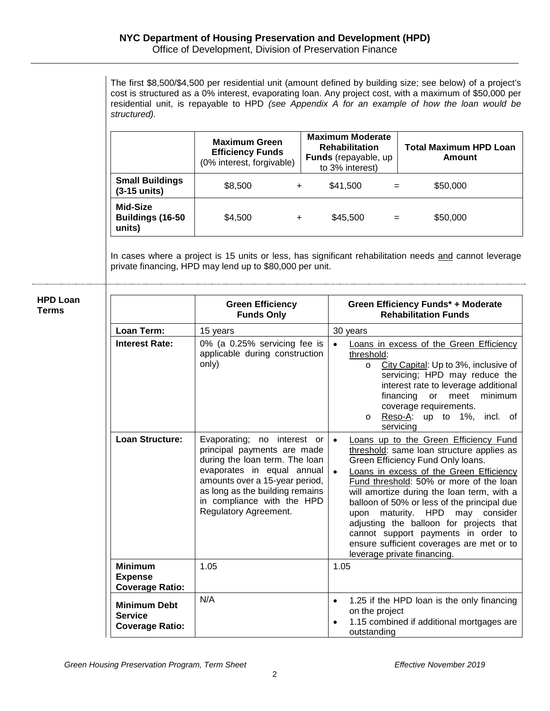The first \$8,500/\$4,500 per residential unit (amount defined by building size; see below) of a project's cost is structured as a 0% interest, evaporating loan. Any project cost, with a maximum of \$50,000 per residential unit, is repayable to HPD *(see Appendix A for an example of how the loan would be structured).*

|                                          | <b>Maximum Green</b><br><b>Efficiency Funds</b><br>(0% interest, forgivable) |           | <b>Maximum Moderate</b><br><b>Rehabilitation</b><br>Funds (repayable, up<br>to 3% interest) |     | <b>Total Maximum HPD Loan</b><br>Amount |
|------------------------------------------|------------------------------------------------------------------------------|-----------|---------------------------------------------------------------------------------------------|-----|-----------------------------------------|
| <b>Small Buildings</b><br>$(3-15$ units) | \$8,500                                                                      | $\ddot{}$ | \$41,500                                                                                    | $=$ | \$50,000                                |
| Mid-Size<br>Buildings (16-50<br>units)   | \$4.500                                                                      | ÷         | \$45,500                                                                                    | $=$ | \$50,000                                |

In cases where a project is 15 units or less, has significant rehabilitation needs and cannot leverage private financing, HPD may lend up to \$80,000 per unit.

| <b>HPD Loan</b><br>Terms                                        | <b>Green Efficiency</b><br><b>Funds Only</b>                                                                                                                                                                                                           | <b>Green Efficiency Funds* + Moderate</b><br><b>Rehabilitation Funds</b>                                                                                                                                                                                                                                                                                                                                                                                                                                                              |
|-----------------------------------------------------------------|--------------------------------------------------------------------------------------------------------------------------------------------------------------------------------------------------------------------------------------------------------|---------------------------------------------------------------------------------------------------------------------------------------------------------------------------------------------------------------------------------------------------------------------------------------------------------------------------------------------------------------------------------------------------------------------------------------------------------------------------------------------------------------------------------------|
| Loan Term:                                                      | 15 years                                                                                                                                                                                                                                               | 30 years                                                                                                                                                                                                                                                                                                                                                                                                                                                                                                                              |
| <b>Interest Rate:</b>                                           | 0% (a 0.25% servicing fee is<br>applicable during construction<br>only)                                                                                                                                                                                | $\bullet$<br>Loans in excess of the Green Efficiency<br>threshold:<br>City Capital: Up to 3%, inclusive of<br>$\circ$<br>servicing; HPD may reduce the<br>interest rate to leverage additional<br>financing or meet minimum<br>coverage requirements.<br>Reso-A: up to 1%, incl. of<br>$\circ$<br>servicing                                                                                                                                                                                                                           |
| <b>Loan Structure:</b>                                          | Evaporating; no interest or<br>principal payments are made<br>during the loan term. The loan<br>evaporates in equal annual<br>amounts over a 15-year period,<br>as long as the building remains<br>in compliance with the HPD<br>Regulatory Agreement. | Loans up to the Green Efficiency Fund<br>$\bullet$<br>threshold: same loan structure applies as<br>Green Efficiency Fund Only loans.<br>$\bullet$<br>Loans in excess of the Green Efficiency<br>Fund threshold: 50% or more of the loan<br>will amortize during the loan term, with a<br>balloon of 50% or less of the principal due<br>upon maturity. HPD may consider<br>adjusting the balloon for projects that<br>cannot support payments in order to<br>ensure sufficient coverages are met or to<br>leverage private financing. |
| <b>Minimum</b><br><b>Expense</b><br><b>Coverage Ratio:</b>      | 1.05                                                                                                                                                                                                                                                   | 1.05                                                                                                                                                                                                                                                                                                                                                                                                                                                                                                                                  |
| <b>Minimum Debt</b><br><b>Service</b><br><b>Coverage Ratio:</b> | N/A                                                                                                                                                                                                                                                    | 1.25 if the HPD loan is the only financing<br>$\bullet$<br>on the project<br>1.15 combined if additional mortgages are<br>outstanding                                                                                                                                                                                                                                                                                                                                                                                                 |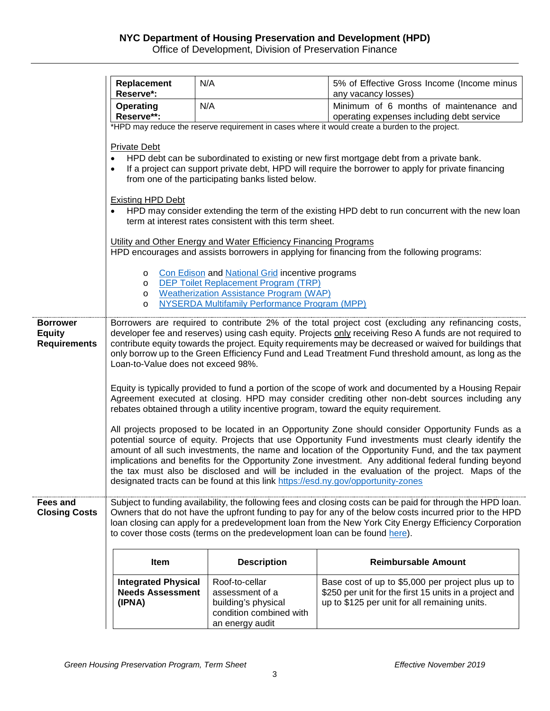Office of Development, Division of Preservation Finance

|                                         | Replacement<br>Reserve*:                                                                                                                                                                                                                                                                         | N/A                                                                                             | 5% of Effective Gross Income (Income minus<br>any vacancy losses)                                           |  |  |  |
|-----------------------------------------|--------------------------------------------------------------------------------------------------------------------------------------------------------------------------------------------------------------------------------------------------------------------------------------------------|-------------------------------------------------------------------------------------------------|-------------------------------------------------------------------------------------------------------------|--|--|--|
|                                         | <b>Operating</b><br>Reserve**:                                                                                                                                                                                                                                                                   | N/A                                                                                             | Minimum of 6 months of maintenance and<br>operating expenses including debt service                         |  |  |  |
|                                         |                                                                                                                                                                                                                                                                                                  |                                                                                                 | *HPD may reduce the reserve requirement in cases where it would create a burden to the project.             |  |  |  |
|                                         | <b>Private Debt</b>                                                                                                                                                                                                                                                                              |                                                                                                 |                                                                                                             |  |  |  |
|                                         | HPD debt can be subordinated to existing or new first mortgage debt from a private bank.<br>If a project can support private debt, HPD will require the borrower to apply for private financing<br>$\bullet$<br>from one of the participating banks listed below.                                |                                                                                                 |                                                                                                             |  |  |  |
|                                         | <b>Existing HPD Debt</b>                                                                                                                                                                                                                                                                         |                                                                                                 |                                                                                                             |  |  |  |
|                                         | HPD may consider extending the term of the existing HPD debt to run concurrent with the new loan<br>term at interest rates consistent with this term sheet.                                                                                                                                      |                                                                                                 |                                                                                                             |  |  |  |
|                                         | Utility and Other Energy and Water Efficiency Financing Programs<br>HPD encourages and assists borrowers in applying for financing from the following programs:                                                                                                                                  |                                                                                                 |                                                                                                             |  |  |  |
|                                         |                                                                                                                                                                                                                                                                                                  |                                                                                                 |                                                                                                             |  |  |  |
|                                         | O<br>O                                                                                                                                                                                                                                                                                           | Con Edison and National Grid incentive programs<br><b>DEP Toilet Replacement Program (TRP)</b>  |                                                                                                             |  |  |  |
|                                         | $\circ$<br>$\circ$                                                                                                                                                                                                                                                                               | <b>Weatherization Assistance Program (WAP)</b><br>NYSERDA Multifamily Performance Program (MPP) |                                                                                                             |  |  |  |
| <b>Borrower</b>                         |                                                                                                                                                                                                                                                                                                  |                                                                                                 |                                                                                                             |  |  |  |
| <b>Equity</b><br><b>Requirements</b>    | Borrowers are required to contribute 2% of the total project cost (excluding any refinancing costs,<br>developer fee and reserves) using cash equity. Projects only receiving Reso A funds are not required to                                                                                   |                                                                                                 |                                                                                                             |  |  |  |
|                                         | contribute equity towards the project. Equity requirements may be decreased or waived for buildings that<br>only borrow up to the Green Efficiency Fund and Lead Treatment Fund threshold amount, as long as the                                                                                 |                                                                                                 |                                                                                                             |  |  |  |
|                                         | Loan-to-Value does not exceed 98%.                                                                                                                                                                                                                                                               |                                                                                                 |                                                                                                             |  |  |  |
|                                         | Equity is typically provided to fund a portion of the scope of work and documented by a Housing Repair<br>Agreement executed at closing. HPD may consider crediting other non-debt sources including any<br>rebates obtained through a utility incentive program, toward the equity requirement. |                                                                                                 |                                                                                                             |  |  |  |
|                                         | All projects proposed to be located in an Opportunity Zone should consider Opportunity Funds as a                                                                                                                                                                                                |                                                                                                 |                                                                                                             |  |  |  |
|                                         | potential source of equity. Projects that use Opportunity Fund investments must clearly identify the<br>amount of all such investments, the name and location of the Opportunity Fund, and the tax payment                                                                                       |                                                                                                 |                                                                                                             |  |  |  |
|                                         | implications and benefits for the Opportunity Zone investment. Any additional federal funding beyond<br>the tax must also be disclosed and will be included in the evaluation of the project. Maps of the                                                                                        |                                                                                                 |                                                                                                             |  |  |  |
|                                         | designated tracts can be found at this link https://esd.ny.gov/opportunity-zones                                                                                                                                                                                                                 |                                                                                                 |                                                                                                             |  |  |  |
| <b>Fees and</b><br><b>Closing Costs</b> | Subject to funding availability, the following fees and closing costs can be paid for through the HPD loan.                                                                                                                                                                                      |                                                                                                 |                                                                                                             |  |  |  |
|                                         | Owners that do not have the upfront funding to pay for any of the below costs incurred prior to the HPD<br>loan closing can apply for a predevelopment loan from the New York City Energy Efficiency Corporation                                                                                 |                                                                                                 |                                                                                                             |  |  |  |
|                                         | to cover those costs (terms on the predevelopment loan can be found here).                                                                                                                                                                                                                       |                                                                                                 |                                                                                                             |  |  |  |
|                                         | Item                                                                                                                                                                                                                                                                                             | <b>Description</b>                                                                              | <b>Reimbursable Amount</b>                                                                                  |  |  |  |
|                                         | <b>Integrated Physical</b><br><b>Needs Assessment</b>                                                                                                                                                                                                                                            | Roof-to-cellar<br>assessment of a                                                               | Base cost of up to \$5,000 per project plus up to<br>\$250 per unit for the first 15 units in a project and |  |  |  |
|                                         | (IPNA)                                                                                                                                                                                                                                                                                           | building's physical                                                                             | up to \$125 per unit for all remaining units.                                                               |  |  |  |
|                                         |                                                                                                                                                                                                                                                                                                  | condition combined with<br>an energy audit                                                      |                                                                                                             |  |  |  |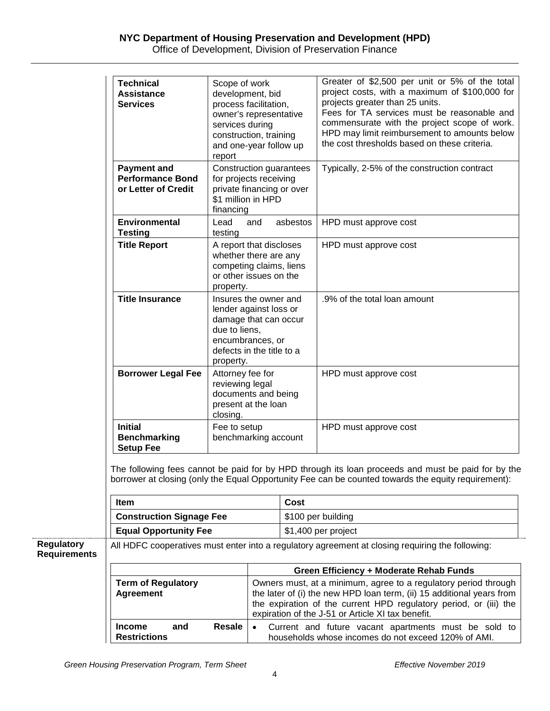## **NYC Department of Housing Preservation and Development (HPD)**

Office of Development, Division of Preservation Finance

|                                          | <b>Technical</b><br><b>Assistance</b><br><b>Services</b>                                                                                                                                                  | Scope of work<br>development, bid<br>process facilitation,<br>owner's representative<br>services during<br>construction, training<br>and one-year follow up<br>report |     |          | Greater of \$2,500 per unit or 5% of the total<br>project costs, with a maximum of \$100,000 for<br>projects greater than 25 units.<br>Fees for TA services must be reasonable and<br>commensurate with the project scope of work.<br>HPD may limit reimbursement to amounts below<br>the cost thresholds based on these criteria. |  |  |
|------------------------------------------|-----------------------------------------------------------------------------------------------------------------------------------------------------------------------------------------------------------|-----------------------------------------------------------------------------------------------------------------------------------------------------------------------|-----|----------|------------------------------------------------------------------------------------------------------------------------------------------------------------------------------------------------------------------------------------------------------------------------------------------------------------------------------------|--|--|
|                                          | <b>Payment and</b><br><b>Performance Bond</b><br>or Letter of Credit                                                                                                                                      | Construction guarantees<br>for projects receiving<br>private financing or over<br>\$1 million in HPD<br>financing                                                     |     |          | Typically, 2-5% of the construction contract                                                                                                                                                                                                                                                                                       |  |  |
|                                          | <b>Environmental</b><br><b>Testing</b>                                                                                                                                                                    | Lead                                                                                                                                                                  | and | asbestos | HPD must approve cost                                                                                                                                                                                                                                                                                                              |  |  |
|                                          | <b>Title Report</b>                                                                                                                                                                                       | testing<br>A report that discloses<br>whether there are any<br>competing claims, liens<br>or other issues on the<br>property.                                         |     |          | HPD must approve cost                                                                                                                                                                                                                                                                                                              |  |  |
|                                          | <b>Title Insurance</b>                                                                                                                                                                                    | Insures the owner and<br>lender against loss or<br>damage that can occur<br>due to liens.<br>encumbrances, or<br>defects in the title to a<br>property.               |     |          | .9% of the total loan amount                                                                                                                                                                                                                                                                                                       |  |  |
|                                          | <b>Borrower Legal Fee</b>                                                                                                                                                                                 | Attorney fee for<br>reviewing legal<br>documents and being<br>present at the loan<br>closing.                                                                         |     |          | HPD must approve cost                                                                                                                                                                                                                                                                                                              |  |  |
|                                          | <b>Initial</b><br><b>Benchmarking</b><br><b>Setup Fee</b>                                                                                                                                                 | Fee to setup<br>benchmarking account                                                                                                                                  |     |          | HPD must approve cost                                                                                                                                                                                                                                                                                                              |  |  |
|                                          | The following fees cannot be paid for by HPD through its loan proceeds and must be paid for by the<br>borrower at closing (only the Equal Opportunity Fee can be counted towards the equity requirement): |                                                                                                                                                                       |     |          |                                                                                                                                                                                                                                                                                                                                    |  |  |
|                                          | Item                                                                                                                                                                                                      |                                                                                                                                                                       |     | Cost     |                                                                                                                                                                                                                                                                                                                                    |  |  |
|                                          | <b>Construction Signage Fee</b>                                                                                                                                                                           |                                                                                                                                                                       |     |          | \$100 per building                                                                                                                                                                                                                                                                                                                 |  |  |
| <b>Regulatory</b><br><b>Requirements</b> | <b>Equal Opportunity Fee</b><br>\$1,400 per project<br>All HDFC cooperatives must enter into a regulatory agreement at closing requiring the following:                                                   |                                                                                                                                                                       |     |          |                                                                                                                                                                                                                                                                                                                                    |  |  |
|                                          |                                                                                                                                                                                                           |                                                                                                                                                                       |     |          | Green Efficiency + Moderate Rehab Funds                                                                                                                                                                                                                                                                                            |  |  |
|                                          | <b>Term of Regulatory</b><br><b>Agreement</b><br><b>Resale</b><br><b>Income</b><br>and<br>$\bullet$<br><b>Restrictions</b>                                                                                |                                                                                                                                                                       |     |          | Owners must, at a minimum, agree to a regulatory period through<br>the later of (i) the new HPD loan term, (ii) 15 additional years from<br>the expiration of the current HPD regulatory period, or (iii) the<br>expiration of the J-51 or Article XI tax benefit.                                                                 |  |  |
|                                          |                                                                                                                                                                                                           |                                                                                                                                                                       |     |          | Current and future vacant apartments must be sold to<br>households whose incomes do not exceed 120% of AMI.                                                                                                                                                                                                                        |  |  |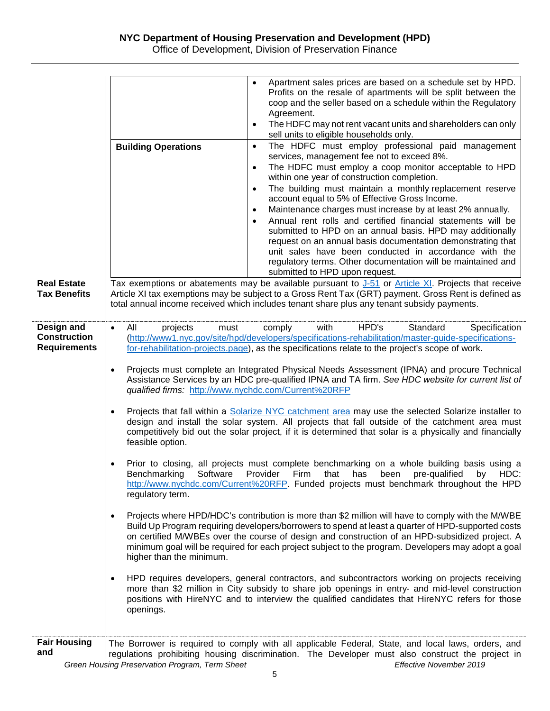Office of Development, Division of Preservation Finance

|                                                          | Apartment sales prices are based on a schedule set by HPD.<br>Profits on the resale of apartments will be split between the<br>coop and the seller based on a schedule within the Regulatory<br>Agreement.<br>The HDFC may not rent vacant units and shareholders can only<br>sell units to eligible households only.<br>The HDFC must employ professional paid management<br><b>Building Operations</b><br>$\bullet$<br>services, management fee not to exceed 8%.<br>The HDFC must employ a coop monitor acceptable to HPD<br>within one year of construction completion.<br>The building must maintain a monthly replacement reserve<br>$\bullet$<br>account equal to 5% of Effective Gross Income.<br>Maintenance charges must increase by at least 2% annually.<br>$\bullet$<br>Annual rent rolls and certified financial statements will be<br>submitted to HPD on an annual basis. HPD may additionally<br>request on an annual basis documentation demonstrating that<br>unit sales have been conducted in accordance with the<br>regulatory terms. Other documentation will be maintained and<br>submitted to HPD upon request.                                                                                                                                                                                                                                                                                                                                                                                                                                                                                                                                                                                                                                                                                                                                                                                                                                                                                         |
|----------------------------------------------------------|----------------------------------------------------------------------------------------------------------------------------------------------------------------------------------------------------------------------------------------------------------------------------------------------------------------------------------------------------------------------------------------------------------------------------------------------------------------------------------------------------------------------------------------------------------------------------------------------------------------------------------------------------------------------------------------------------------------------------------------------------------------------------------------------------------------------------------------------------------------------------------------------------------------------------------------------------------------------------------------------------------------------------------------------------------------------------------------------------------------------------------------------------------------------------------------------------------------------------------------------------------------------------------------------------------------------------------------------------------------------------------------------------------------------------------------------------------------------------------------------------------------------------------------------------------------------------------------------------------------------------------------------------------------------------------------------------------------------------------------------------------------------------------------------------------------------------------------------------------------------------------------------------------------------------------------------------------------------------------------------------------------------------------|
| <b>Real Estate</b><br><b>Tax Benefits</b>                | Tax exemptions or abatements may be available pursuant to $J-51$ or Article XI. Projects that receive<br>Article XI tax exemptions may be subject to a Gross Rent Tax (GRT) payment. Gross Rent is defined as<br>total annual income received which includes tenant share plus any tenant subsidy payments.                                                                                                                                                                                                                                                                                                                                                                                                                                                                                                                                                                                                                                                                                                                                                                                                                                                                                                                                                                                                                                                                                                                                                                                                                                                                                                                                                                                                                                                                                                                                                                                                                                                                                                                      |
| Design and<br><b>Construction</b><br><b>Requirements</b> | with<br>HPD's<br>Specification<br>projects<br>comply<br>Standard<br>All<br>must<br>$\bullet$<br>(http://www1.nyc.gov/site/hpd/developers/specifications-rehabilitation/master-guide-specifications-<br>for-rehabilitation-projects.page), as the specifications relate to the project's scope of work.<br>Projects must complete an Integrated Physical Needs Assessment (IPNA) and procure Technical<br>$\bullet$<br>Assistance Services by an HDC pre-qualified IPNA and TA firm. See HDC website for current list of<br>qualified firms: http://www.nychdc.com/Current%20RFP<br>Projects that fall within a <b>Solarize NYC</b> catchment area may use the selected Solarize installer to<br>$\bullet$<br>design and install the solar system. All projects that fall outside of the catchment area must<br>competitively bid out the solar project, if it is determined that solar is a physically and financially<br>feasible option.<br>Prior to closing, all projects must complete benchmarking on a whole building basis using a<br>Benchmarking Software Provider Firm that has been pre-qualified by HDC:<br>http://www.nychdc.com/Current%20RFP. Funded projects must benchmark throughout the HPD<br>regulatory term.<br>Projects where HPD/HDC's contribution is more than \$2 million will have to comply with the M/WBE<br>$\bullet$<br>Build Up Program requiring developers/borrowers to spend at least a quarter of HPD-supported costs<br>on certified M/WBEs over the course of design and construction of an HPD-subsidized project. A<br>minimum goal will be required for each project subject to the program. Developers may adopt a goal<br>higher than the minimum.<br>HPD requires developers, general contractors, and subcontractors working on projects receiving<br>$\bullet$<br>more than \$2 million in City subsidy to share job openings in entry- and mid-level construction<br>positions with HireNYC and to interview the qualified candidates that HireNYC refers for those<br>openings. |
| <b>Fair Housing</b><br>and                               | The Borrower is required to comply with all applicable Federal, State, and local laws, orders, and<br>regulations prohibiting housing discrimination. The Developer must also construct the project in<br>Green Housing Preservation Program, Term Sheet<br>Effective November 2019                                                                                                                                                                                                                                                                                                                                                                                                                                                                                                                                                                                                                                                                                                                                                                                                                                                                                                                                                                                                                                                                                                                                                                                                                                                                                                                                                                                                                                                                                                                                                                                                                                                                                                                                              |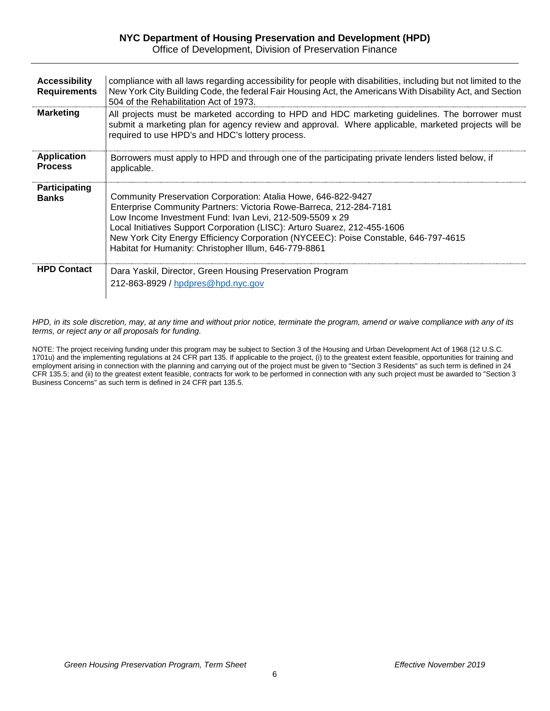#### **NYC Department of Housing Preservation and Development (HPD)** Office of Development, Division of Preservation Finance

**Accessibility Requirements** compliance with all laws regarding accessibility for people with disabilities, including but not limited to the New York City Building Code, the federal Fair Housing Act, the Americans With Disability Act, and Section 504 of the Rehabilitation Act of 1973. **Marketing** All projects must be marketed according to HPD and HDC marketing guidelines. The borrower must submit a marketing plan for agency review and approval. Where applicable, marketed projects will be required to use HPD's and HDC's lottery process. **Application Process** Borrowers must apply to HPD and through one of the participating private lenders listed below, if applicable. **Participating Banks** Community Preservation Corporation: Atalia Howe, 646-822-9427 Enterprise Community Partners: Victoria Rowe-Barreca, 212-284-7181 Low Income Investment Fund: Ivan Levi, 212-509-5509 x 29 Local Initiatives Support Corporation (LISC): Arturo Suarez, 212-455-1606 New York City Energy Efficiency Corporation (NYCEEC): Poise Constable, 646-797-4615 Habitat for Humanity: Christopher Illum, 646-779-8861 **HPD Contact** | Dara Yaskil, Director, Green Housing Preservation Program 212-863-8929 / [hpdpres@hpd.nyc.gov](mailto:hpdpres@hpd.nyc.gov)

*HPD, in its sole discretion, may, at any time and without prior notice, terminate the program, amend or waive compliance with any of its terms, or reject any or all proposals for funding.*

NOTE: The project receiving funding under this program may be subject to Section 3 of the Housing and Urban Development Act of 1968 (12 U.S.C. 1701u) and the implementing regulations at 24 CFR part 135. If applicable to the project, (i) to the greatest extent feasible, opportunities for training and employment arising in connection with the planning and carrying out of the project must be given to "Section 3 Residents" as such term is defined in 24 CFR 135.5; and (ii) to the greatest extent feasible, contracts for work to be performed in connection with any such project must be awarded to "Section 3 Business Concerns" as such term is defined in 24 CFR part 135.5.